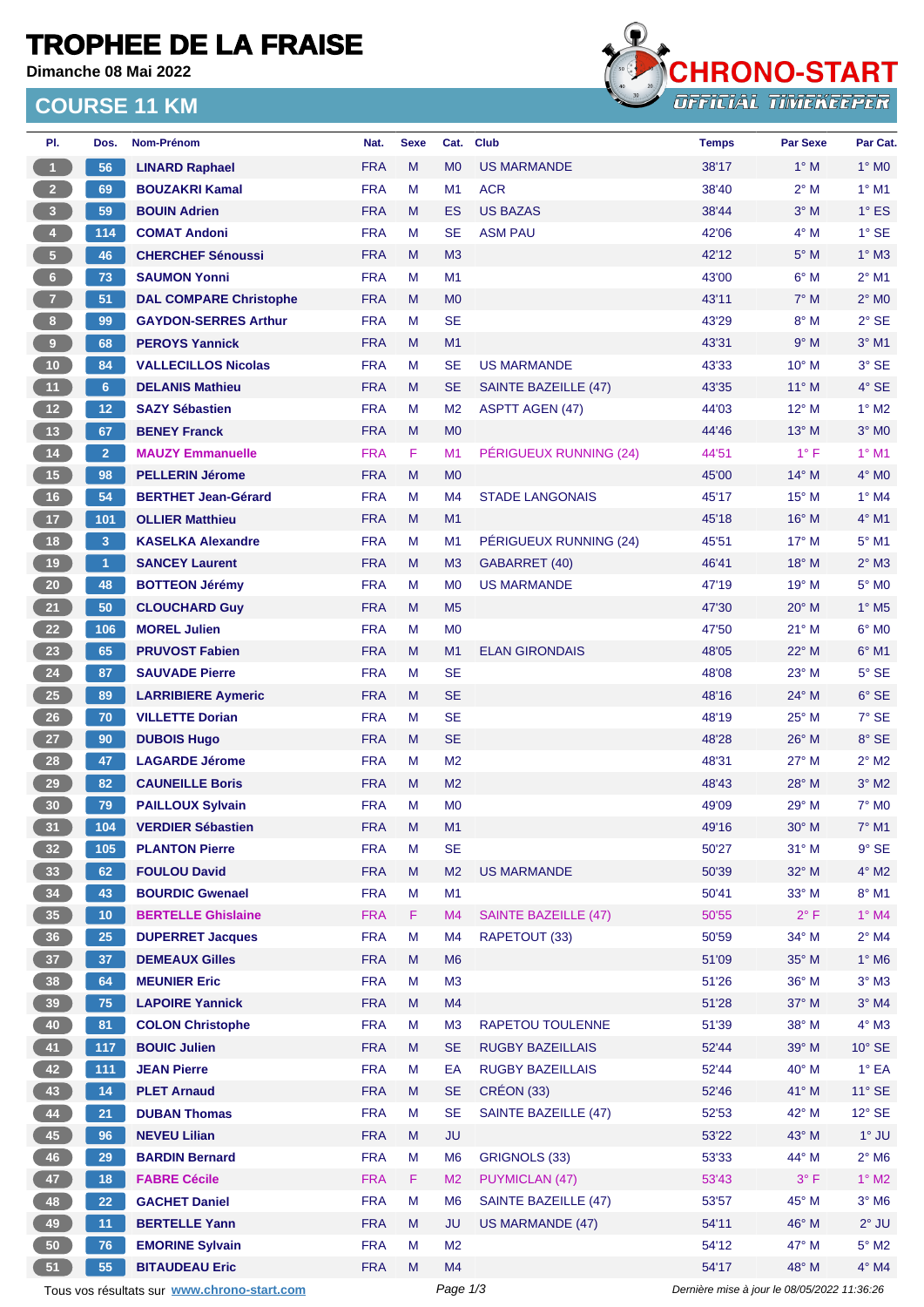# **TROPHEE DE LA FRAISE**

**Dimanche 08 Mai 2022**

### **COURSE 11 KM**



| PI.                                         | Dos.                    | Nom-Prénom                    | Nat.       | <b>Sexe</b> | Cat.                                        | <b>Club</b>                 | <b>Temps</b> | <b>Par Sexe</b> | Par Cat.                 |
|---------------------------------------------|-------------------------|-------------------------------|------------|-------------|---------------------------------------------|-----------------------------|--------------|-----------------|--------------------------|
| $\vert$                                     | 56                      | <b>LINARD Raphael</b>         | <b>FRA</b> | M           | M <sub>0</sub>                              | <b>US MARMANDE</b>          | 38'17        | $1^\circ$ M     | $1^\circ$ MO             |
| 2 <sup>7</sup>                              | 69                      | <b>BOUZAKRI Kamal</b>         | <b>FRA</b> | м           | M <sub>1</sub>                              | <b>ACR</b>                  | 38'40        | $2^{\circ}$ M   | $1^\circ$ M1             |
| $\overline{\mathbf{3}}$                     | 59                      | <b>BOUIN Adrien</b>           | <b>FRA</b> | M           | ES                                          | <b>US BAZAS</b>             | 38'44        | $3^\circ$ M     | $1^\circ$ ES             |
| $\overline{4}$                              | 114                     | <b>COMAT Andoni</b>           | <b>FRA</b> | м           | <b>SE</b>                                   | <b>ASM PAU</b>              | 42'06        | $4^\circ$ M     | $1^\circ$ SE             |
| 5 <sub>1</sub>                              | 46                      | <b>CHERCHEF Sénoussi</b>      | <b>FRA</b> | M           | M <sub>3</sub>                              |                             | 42'12        | $5^\circ$ M     | $1^\circ$ M3             |
| $6\phantom{.}$                              | 73                      | <b>SAUMON Yonni</b>           | <b>FRA</b> | М           | M1                                          |                             | 43'00        | $6^\circ$ M     | $2^{\circ}$ M1           |
| $\overline{7}$                              | 51                      | <b>DAL COMPARE Christophe</b> | <b>FRA</b> | M           | M <sub>0</sub>                              |                             | 43'11        | $7^\circ$ M     | $2^{\circ}$ MO           |
| 8 <sup>1</sup>                              | 99                      | <b>GAYDON-SERRES Arthur</b>   | <b>FRA</b> | М           | <b>SE</b>                                   |                             | 43'29        | $8^\circ$ M     | $2°$ SE                  |
| 9                                           | 68                      | <b>PEROYS Yannick</b>         | <b>FRA</b> | M           | M1                                          |                             | 43'31        | 9° M            | $3^\circ$ M1             |
| 10                                          | 84                      | <b>VALLECILLOS Nicolas</b>    | <b>FRA</b> | м           | <b>SE</b>                                   | <b>US MARMANDE</b>          | 43'33        | $10^{\circ}$ M  | 3° SE                    |
| 11                                          | 6 <sup>1</sup>          | <b>DELANIS Mathieu</b>        | <b>FRA</b> | M           | <b>SE</b>                                   | SAINTE BAZEILLE (47)        | 43'35        | $11^{\circ}$ M  | $4^\circ$ SE             |
| $12$                                        | $12$                    | <b>SAZY Sébastien</b>         | <b>FRA</b> | M           | M <sub>2</sub>                              | <b>ASPTT AGEN (47)</b>      | 44'03        | $12^{\circ}$ M  | $1^\circ$ M2             |
| 13                                          | 67                      | <b>BENEY Franck</b>           | <b>FRA</b> | M           | M <sub>0</sub>                              |                             | 44'46        | $13^{\circ}$ M  | $3°$ MO                  |
| $14$                                        | 2 <sup>1</sup>          | <b>MAUZY Emmanuelle</b>       | <b>FRA</b> | F.          | M1                                          | PÉRIGUEUX RUNNING (24)      | 44'51        | $1^{\circ}$ F   | $1°$ M1                  |
| 15                                          | 98                      | <b>PELLERIN Jérome</b>        | <b>FRA</b> | M           | M <sub>0</sub>                              |                             | 45'00        | $14^{\circ}$ M  | $4^\circ$ MO             |
| 16                                          | 54                      | <b>BERTHET Jean-Gérard</b>    | <b>FRA</b> | м           | M4                                          | <b>STADE LANGONAIS</b>      | 45'17        | $15^{\circ}$ M  | $1^\circ$ M4             |
| $17$                                        | 101                     | <b>OLLIER Matthieu</b>        | <b>FRA</b> | M           | M1                                          |                             | 45'18        | $16^{\circ}$ M  | $4°$ M1                  |
| 18                                          | $\overline{\mathbf{3}}$ | <b>KASELKA Alexandre</b>      | <b>FRA</b> | М           | M <sub>1</sub>                              | PÉRIGUEUX RUNNING (24)      | 45'51        | $17^{\circ}$ M  | $5^{\circ}$ M1           |
| 19                                          | $\overline{1}$          | <b>SANCEY Laurent</b>         | <b>FRA</b> | M           | M <sub>3</sub>                              | GABARRET (40)               | 46'41        | $18^{\circ}$ M  | $2^{\circ}$ M3           |
| $20\,$                                      | 48                      | <b>BOTTEON Jérémy</b>         | <b>FRA</b> | м           | M <sub>0</sub>                              | <b>US MARMANDE</b>          | 47'19        | $19^{\circ}$ M  | 5° MO                    |
| 21                                          | 50                      | <b>CLOUCHARD Guy</b>          | <b>FRA</b> | M           | M <sub>5</sub>                              |                             | 47'30        | $20^{\circ}$ M  | $1^\circ$ M <sub>5</sub> |
| 22                                          | 106                     | <b>MOREL Julien</b>           | <b>FRA</b> | м           | M <sub>0</sub>                              |                             | 47'50        | $21^{\circ}$ M  | $6^\circ$ MO             |
| 23                                          | 65                      | <b>PRUVOST Fabien</b>         | <b>FRA</b> | M           | M1                                          | <b>ELAN GIRONDAIS</b>       | 48'05        | 22° M           | $6°$ M1                  |
| 24                                          | 87                      | <b>SAUVADE Pierre</b>         | <b>FRA</b> | м           | <b>SE</b>                                   |                             | 48'08        | $23^\circ$ M    | $5^\circ$ SE             |
| 25                                          | 89                      | <b>LARRIBIERE Aymeric</b>     | <b>FRA</b> | M           | <b>SE</b>                                   |                             | 48'16        | $24^{\circ}$ M  | $6°$ SE                  |
| 26                                          | 70                      | <b>VILLETTE Dorian</b>        | <b>FRA</b> | М           | <b>SE</b>                                   |                             | 48'19        | $25^{\circ}$ M  | $7°$ SE                  |
| 27                                          | 90                      | <b>DUBOIS Hugo</b>            | <b>FRA</b> | M           | <b>SE</b>                                   |                             | 48'28        | 26° M           | 8° SE                    |
| 28                                          | 47                      | <b>LAGARDE Jérome</b>         | <b>FRA</b> | М           | M <sub>2</sub>                              |                             | 48'31        | $27^\circ$ M    | $2^{\circ}$ M2           |
| 29                                          | 82                      | <b>CAUNEILLE Boris</b>        | <b>FRA</b> | M           | M <sub>2</sub>                              |                             | 48'43        | $28^\circ$ M    | $3^\circ$ M2             |
| 30                                          | 79                      | <b>PAILLOUX Sylvain</b>       | <b>FRA</b> | м           | M <sub>0</sub>                              |                             | 49'09        | 29° M           | $7^\circ$ MO             |
| 31                                          | 104                     | <b>VERDIER Sébastien</b>      | <b>FRA</b> | M           | M <sub>1</sub>                              |                             | 49'16        | 30° M           | $7^\circ$ M1             |
| 32 <sup>7</sup>                             | 105                     | <b>PLANTON Pierre</b>         | <b>FRA</b> | M           | <b>SE</b>                                   |                             | 50'27        | $31^\circ$ M    | $9^{\circ}$ SE           |
| 33 <sup>°</sup>                             | 62                      | <b>FOULOU David</b>           | <b>FRA</b> | M           | M <sub>2</sub>                              | <b>US MARMANDE</b>          | 50'39        | 32° M           | $4^\circ$ M2             |
| 34                                          | 43                      | <b>BOURDIC Gwenael</b>        | <b>FRA</b> | M           | M1                                          |                             | 50'41        | 33° M           | 8° M1                    |
| 35 <sub>1</sub>                             | 10 <sub>1</sub>         | <b>BERTELLE Ghislaine</b>     | <b>FRA</b> | F.          | M4                                          | <b>SAINTE BAZEILLE (47)</b> | 50'55        | $2^{\circ}$ F   | $1^\circ$ M4             |
| 36                                          | 25                      | <b>DUPERRET Jacques</b>       | <b>FRA</b> | M           | M4                                          | RAPETOUT (33)               | 50'59        | 34° M           | $2^{\circ}$ M4           |
| 37 <sup>°</sup>                             | 37                      | <b>DEMEAUX Gilles</b>         | <b>FRA</b> | M           | M <sub>6</sub>                              |                             | 51'09        | 35° M           | $1^\circ$ M6             |
| 38                                          | 64                      | <b>MEUNIER Eric</b>           | <b>FRA</b> | М           | M <sub>3</sub>                              |                             | 51'26        | 36° M           | $3^\circ$ M3             |
| 39                                          | 75                      | <b>LAPOIRE Yannick</b>        | <b>FRA</b> | M           | M4                                          |                             | 51'28        | 37° M           | $3^\circ$ M4             |
| 40                                          | 81                      | <b>COLON Christophe</b>       | <b>FRA</b> | M           | M3                                          | <b>RAPETOU TOULENNE</b>     | 51'39        | 38° M           | $4^{\circ}$ M3           |
| 41                                          | 117                     | <b>BOUIC Julien</b>           | <b>FRA</b> | M           | <b>SE</b>                                   | <b>RUGBY BAZEILLAIS</b>     | 52'44        | 39° M           | $10^{\circ}$ SE          |
| 42                                          | 111                     | <b>JEAN Pierre</b>            | <b>FRA</b> | M           | EA                                          | <b>RUGBY BAZEILLAIS</b>     | 52'44        | 40° M           | $1^{\circ}$ EA           |
| 43                                          | 14                      | <b>PLET Arnaud</b>            | <b>FRA</b> | M           | <b>SE</b>                                   | CRÉON (33)                  | 52'46        | 41° M           | $11^{\circ}$ SE          |
| 44                                          | 21                      | <b>DUBAN Thomas</b>           | <b>FRA</b> | M           | <b>SE</b>                                   | SAINTE BAZEILLE (47)        | 52'53        | 42° M           | $12^{\circ}$ SE          |
| 45                                          | 96                      | <b>NEVEU Lilian</b>           | <b>FRA</b> | M           | <b>JU</b>                                   |                             | 53'22        | 43° M           | $1°$ JU                  |
| 46                                          | 29                      | <b>BARDIN Bernard</b>         | <b>FRA</b> | M           | M <sub>6</sub>                              | GRIGNOLS (33)               | 53'33        | 44° M           | $2^{\circ}$ M6           |
| 47                                          | 18                      | <b>FABRE Cécile</b>           | <b>FRA</b> | F.          | M2                                          | <b>PUYMICLAN (47)</b>       | 53'43        | $3^{\circ}$ F   | $1^\circ$ M2             |
| 48                                          | 22 <sub>2</sub>         | <b>GACHET Daniel</b>          | <b>FRA</b> | M           | M <sub>6</sub>                              | SAINTE BAZEILLE (47)        | 53'57        | 45° M           | $3^\circ$ M6             |
| 49                                          | 11                      | <b>BERTELLE Yann</b>          | <b>FRA</b> | M           | <b>JU</b>                                   | US MARMANDE (47)            | 54'11        | 46° M           | $2^{\circ}$ JU           |
| 50 <sub>o</sub>                             | 76                      | <b>EMORINE Sylvain</b>        | <b>FRA</b> | М           | M <sub>2</sub>                              |                             | 54'12        | 47° M           | $5^\circ$ M2             |
| 51                                          | 55                      | <b>BITAUDEAU Eric</b>         | <b>FRA</b> | M           | M4                                          |                             | 54'17        | 48° M           | $4^\circ$ M4             |
| Tous vos résultats sur www.chrono-start.com |                         |                               | Page 1/3   |             | Dernière mise à jour le 08/05/2022 11:36:26 |                             |              |                 |                          |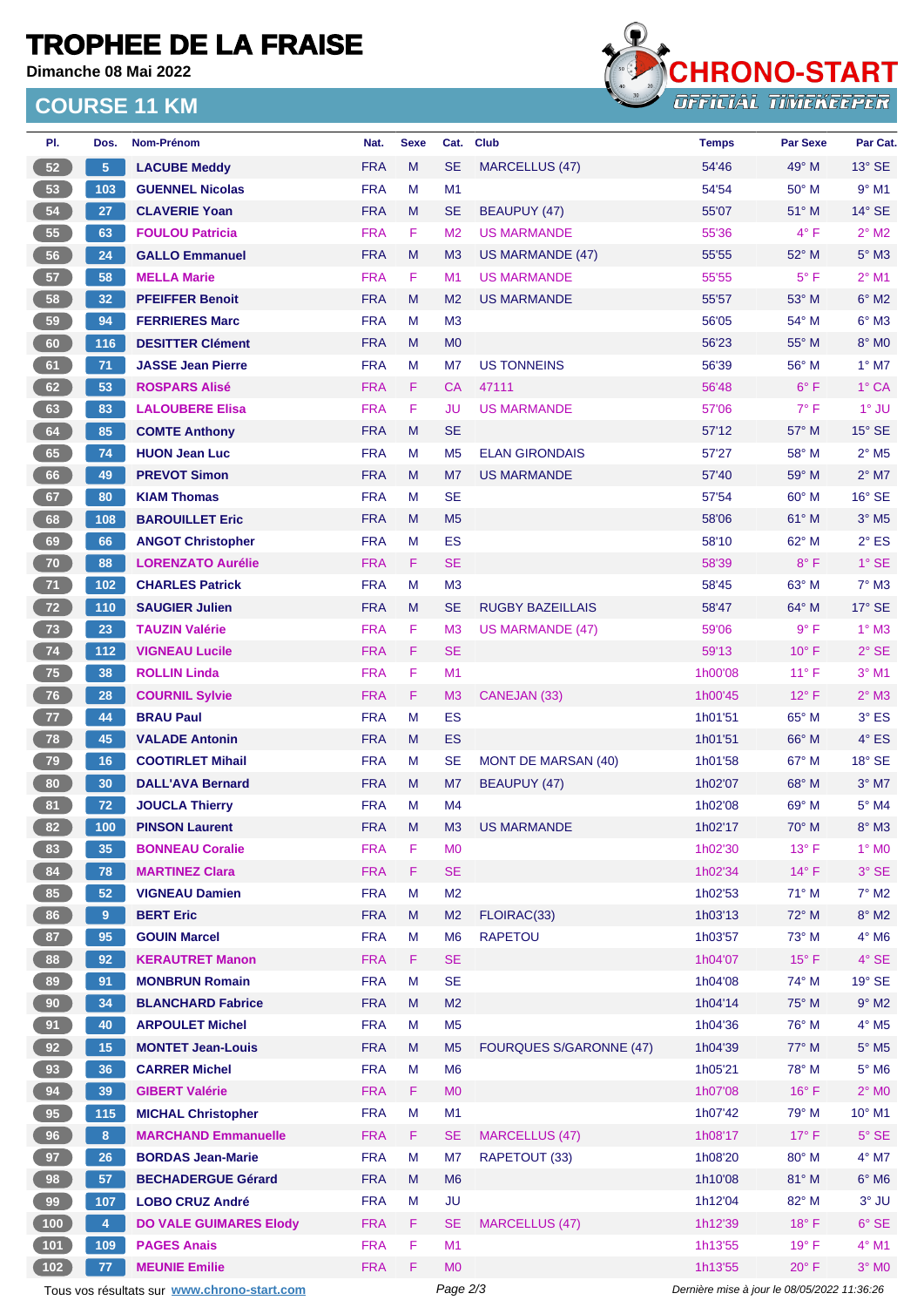# **TROPHEE DE LA FRAISE**

**Dimanche 08 Mai 2022**

#### **COURSE 11 KM**



| PI.             | Dos.                                        | Nom-Prénom                    | Nat.       | <b>Sexe</b> | Cat.           | <b>Club</b>                                 | <b>Temps</b> | <b>Par Sexe</b> | Par Cat.                   |
|-----------------|---------------------------------------------|-------------------------------|------------|-------------|----------------|---------------------------------------------|--------------|-----------------|----------------------------|
| 52              | $5\phantom{.0}$                             | <b>LACUBE Meddy</b>           | <b>FRA</b> | M           | <b>SE</b>      | <b>MARCELLUS (47)</b>                       | 54'46        | 49° M           | $13^\circ$ SE              |
| 53              | 103                                         | <b>GUENNEL Nicolas</b>        | <b>FRA</b> | M           | M1             |                                             | 54'54        | $50^\circ$ M    | $9^{\circ}$ M1             |
| 54              | 27                                          | <b>CLAVERIE Yoan</b>          | <b>FRA</b> | M           | <b>SE</b>      | <b>BEAUPUY (47)</b>                         | 55'07        | 51° M           | $14^{\circ}$ SE            |
| 55              | 63                                          | <b>FOULOU Patricia</b>        | <b>FRA</b> | F           | M <sub>2</sub> | <b>US MARMANDE</b>                          | 55'36        | $4^{\circ}$ F   | $2^{\circ}$ M2             |
| 56              | 24                                          | <b>GALLO Emmanuel</b>         | <b>FRA</b> | M           | M <sub>3</sub> | US MARMANDE (47)                            | 55'55        | 52° M           | $5^\circ$ M3               |
| 57              | 58                                          | <b>MELLA Marie</b>            | <b>FRA</b> | F           | M <sub>1</sub> | <b>US MARMANDE</b>                          | 55'55        | $5^{\circ}$ F   | $2^{\circ}$ M1             |
| 58              | 32                                          | <b>PFEIFFER Benoit</b>        | <b>FRA</b> | M           | M <sub>2</sub> | <b>US MARMANDE</b>                          | 55'57        | 53° M           | $6^{\circ}$ M2             |
| 59              | 94                                          | <b>FERRIERES Marc</b>         | <b>FRA</b> | M           | M <sub>3</sub> |                                             | 56'05        | $54^{\circ}$ M  | $6^\circ$ M3               |
| 60              | 116                                         | <b>DESITTER Clément</b>       | <b>FRA</b> | M           | M <sub>0</sub> |                                             | 56'23        | $55^{\circ}$ M  | 8° MO                      |
| 61              | 71                                          | <b>JASSE Jean Pierre</b>      | <b>FRA</b> | M           | M7             | <b>US TONNEINS</b>                          | 56'39        | 56° M           | $1^\circ$ M7               |
| 62              | 53                                          | <b>ROSPARS Alisé</b>          | <b>FRA</b> | F           | CA             | 47111                                       | 56'48        | $6^{\circ}$ F   | 1° CA                      |
| 63              | 83                                          | <b>LALOUBERE Elisa</b>        | <b>FRA</b> | F           | JU             | <b>US MARMANDE</b>                          | 57'06        | $7^\circ$ F     | 1° JU                      |
| 64              | 85                                          | <b>COMTE Anthony</b>          | <b>FRA</b> | M           | <b>SE</b>      |                                             | 57'12        | 57° M           | $15^\circ$ SE              |
| 65              | 74                                          | <b>HUON Jean Luc</b>          | <b>FRA</b> | M           | M <sub>5</sub> | <b>ELAN GIRONDAIS</b>                       | 57'27        | 58° M           | $2^{\circ}$ M <sub>5</sub> |
| 66              | 49                                          | <b>PREVOT Simon</b>           | <b>FRA</b> | M           | M7             | <b>US MARMANDE</b>                          | 57'40        | 59° M           | $2^{\circ}$ M7             |
| 67              | 80                                          | <b>KIAM Thomas</b>            | <b>FRA</b> | M           | <b>SE</b>      |                                             | 57'54        | 60° M           | $16^\circ$ SE              |
| 68              | 108                                         | <b>BAROUILLET Eric</b>        | <b>FRA</b> | M           | M <sub>5</sub> |                                             | 58'06        | 61° M           | $3°$ M <sub>5</sub>        |
| 69              | 66                                          | <b>ANGOT Christopher</b>      | <b>FRA</b> | M           | ES             |                                             | 58'10        | 62° M           | $2^{\circ}$ ES             |
| 70              | 88                                          | <b>LORENZATO Aurélie</b>      | <b>FRA</b> | F           | <b>SE</b>      |                                             | 58'39        | $8^{\circ}$ F   | $1^\circ$ SE               |
| 71              | 102                                         | <b>CHARLES Patrick</b>        | <b>FRA</b> | M           | M <sub>3</sub> |                                             | 58'45        | 63° M           | $7°$ M3                    |
| 72              | 110                                         | <b>SAUGIER Julien</b>         | <b>FRA</b> | M           | <b>SE</b>      | <b>RUGBY BAZEILLAIS</b>                     | 58'47        | $64^\circ$ M    | $17^\circ$ SE              |
| 73              | 23                                          | <b>TAUZIN Valérie</b>         | <b>FRA</b> | F           | M <sub>3</sub> | <b>US MARMANDE (47)</b>                     | 59'06        | $9^{\circ}$ F   | $1^\circ$ M3               |
| 74              | 112                                         | <b>VIGNEAU Lucile</b>         | <b>FRA</b> | F           | <b>SE</b>      |                                             | 59'13        | $10^{\circ}$ F  | $2°$ SE                    |
| 75              | 38                                          | <b>ROLLIN Linda</b>           | <b>FRA</b> | F           | M1             |                                             | 1h00'08      | $11^{\circ}$ F  | $3°$ M1                    |
| 76              | 28                                          | <b>COURNIL Sylvie</b>         | <b>FRA</b> | F           | M <sub>3</sub> | CANEJAN (33)                                | 1h00'45      | $12^{\circ}$ F  | $2^{\circ}$ M3             |
| 77              | 44                                          | <b>BRAU Paul</b>              | <b>FRA</b> | M           | ES             |                                             | 1h01'51      | 65° M           | 3° ES                      |
| 78              | 45                                          | <b>VALADE Antonin</b>         | <b>FRA</b> | M           | <b>ES</b>      |                                             | 1h01'51      | 66° M           | $4^\circ$ ES               |
| 79              | 16                                          | <b>COOTIRLET Mihail</b>       | <b>FRA</b> | М           | <b>SE</b>      | <b>MONT DE MARSAN (40)</b>                  | 1h01'58      | 67° M           | $18^\circ$ SE              |
| 80              | 30                                          | <b>DALL'AVA Bernard</b>       | <b>FRA</b> | M           | M7             | <b>BEAUPUY (47)</b>                         | 1h02'07      | $68^\circ$ M    | $3^\circ$ M7               |
| 81              | 72                                          | <b>JOUCLA Thierry</b>         | <b>FRA</b> | M           | M4             |                                             | 1h02'08      | $69^\circ$ M    | $5^\circ$ M4               |
| 82              | 100 <sub>1</sub>                            | <b>PINSON Laurent</b>         | <b>FRA</b> | M           | M3             | <b>US MARMANDE</b>                          | 1h02'17      | 70° M           | $8^\circ$ M3               |
| 83              | 35                                          | <b>BONNEAU Coralie</b>        | <b>FRA</b> | F           | M <sub>0</sub> |                                             | 1h02'30      | 13° F           | $1^\circ$ MO               |
| 84              | 78                                          | <b>MARTINEZ Clara</b>         | <b>FRA</b> | F           | <b>SE</b>      |                                             | 1h02'34      | $14^{\circ}$ F  | 3° SE                      |
| 85              | 52                                          | <b>VIGNEAU Damien</b>         | <b>FRA</b> | M           | M <sub>2</sub> |                                             | 1h02'53      | 71° M           | $7^\circ$ M2               |
| 86              | 9 <sup>°</sup>                              | <b>BERT Eric</b>              | <b>FRA</b> | M           | M <sub>2</sub> | FLOIRAC(33)                                 | 1h03'13      | 72° M           | $8^\circ$ M2               |
| 87              | 95                                          | <b>GOUIN Marcel</b>           | <b>FRA</b> | M           | M <sub>6</sub> | <b>RAPETOU</b>                              | 1h03'57      | 73° M           | $4^\circ$ M6               |
| 88              | 92                                          | <b>KERAUTRET Manon</b>        | <b>FRA</b> | F.          | <b>SE</b>      |                                             | 1h04'07      | $15^{\circ}$ F  | $4^\circ$ SE               |
| 89              | 91                                          | <b>MONBRUN Romain</b>         | <b>FRA</b> | M           | <b>SE</b>      |                                             | 1h04'08      | 74° M           | $19°$ SE                   |
| 90 <sub>o</sub> | 34                                          | <b>BLANCHARD Fabrice</b>      | <b>FRA</b> | M           | M <sub>2</sub> |                                             | 1h04'14      | 75° M           | $9°$ M2                    |
| 91              | 40                                          | <b>ARPOULET Michel</b>        | <b>FRA</b> | M           | M <sub>5</sub> |                                             | 1h04'36      | 76° M           | $4^\circ$ M <sub>5</sub>   |
| 92              | 15                                          | <b>MONTET Jean-Louis</b>      | <b>FRA</b> | M           | M <sub>5</sub> | <b>FOURQUES S/GARONNE (47)</b>              | 1h04'39      | 77° M           | $5^\circ$ M5               |
| 93              | 36                                          | <b>CARRER Michel</b>          | <b>FRA</b> | M           | M <sub>6</sub> |                                             | 1h05'21      | 78° M           | $5^\circ$ M6               |
| 94              | 39                                          | <b>GIBERT Valérie</b>         | <b>FRA</b> | F           | M <sub>0</sub> |                                             | 1h07'08      | $16^{\circ}$ F  | $2^{\circ}$ MO             |
| 95              | 115                                         | <b>MICHAL Christopher</b>     | <b>FRA</b> | M           | M1             |                                             | 1h07'42      | 79° M           | $10^{\circ}$ M1            |
| 96              | 8                                           | <b>MARCHAND Emmanuelle</b>    | <b>FRA</b> | F           | <b>SE</b>      | MARCELLUS (47)                              | 1h08'17      | 17°F            | $5^\circ$ SE               |
| 97              | 26                                          | <b>BORDAS Jean-Marie</b>      | <b>FRA</b> | M           | M7             | RAPETOUT (33)                               | 1h08'20      | 80° M           | $4^{\circ}$ M7             |
| 98              | 57                                          | <b>BECHADERGUE Gérard</b>     | <b>FRA</b> | M           | M <sub>6</sub> |                                             | 1h10'08      | 81° M           | $6^\circ$ M6               |
| 99              | 107                                         | <b>LOBO CRUZ André</b>        | <b>FRA</b> | M           | <b>JU</b>      |                                             | 1h12'04      | 82° M           | $3°$ JU                    |
| $100$           | $\overline{4}$                              | <b>DO VALE GUIMARES Elody</b> | <b>FRA</b> | F.          | <b>SE</b>      | <b>MARCELLUS (47)</b>                       | 1h12'39      | 18°F            | $6^{\circ}$ SE             |
| $101$           | 109                                         | <b>PAGES Anais</b>            | <b>FRA</b> | F           | M1             |                                             | 1h13'55      | $19°$ F         | $4^{\circ}$ M1             |
| 102             | 77                                          | <b>MEUNIE Emilie</b>          | <b>FRA</b> | F           | M <sub>0</sub> |                                             | 1h13'55      | $20^{\circ}$ F  | $3°$ MO                    |
|                 | Tous vos résultats sur www.chrono-start.com |                               |            | Page 2/3    |                | Dernière mise à jour le 08/05/2022 11:36:26 |              |                 |                            |